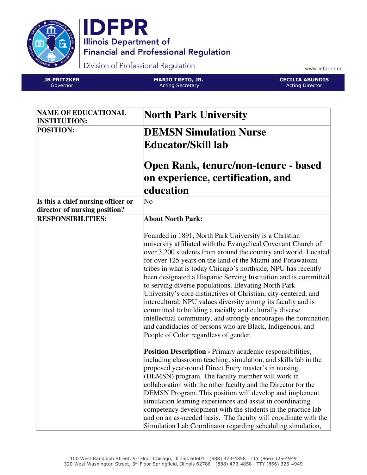



Division of Professional Regulation

www.idfpr.com

JB PRITZKER Governor

MARIO TRETO, JR. Acting Secretary



| <b>NAME OF EDUCATIONAL</b><br><b>INSTITUTION:</b>                   | <b>North Park University</b>                                                                                                                                                                                                                                                                                                                                                                                                                                                                                                                                                                                                                                                                                                                                                                                             |
|---------------------------------------------------------------------|--------------------------------------------------------------------------------------------------------------------------------------------------------------------------------------------------------------------------------------------------------------------------------------------------------------------------------------------------------------------------------------------------------------------------------------------------------------------------------------------------------------------------------------------------------------------------------------------------------------------------------------------------------------------------------------------------------------------------------------------------------------------------------------------------------------------------|
| <b>POSITION:</b>                                                    | <b>DEMSN Simulation Nurse</b>                                                                                                                                                                                                                                                                                                                                                                                                                                                                                                                                                                                                                                                                                                                                                                                            |
|                                                                     | Educator/Skill lab                                                                                                                                                                                                                                                                                                                                                                                                                                                                                                                                                                                                                                                                                                                                                                                                       |
|                                                                     | <b>Open Rank, tenure/non-tenure - based</b><br>on experience, certification, and<br>education                                                                                                                                                                                                                                                                                                                                                                                                                                                                                                                                                                                                                                                                                                                            |
| Is this a chief nursing officer or<br>director of nursing position? | $\overline{\text{No}}$                                                                                                                                                                                                                                                                                                                                                                                                                                                                                                                                                                                                                                                                                                                                                                                                   |
| <b>RESPONSIBILITIES:</b>                                            | <b>About North Park:</b>                                                                                                                                                                                                                                                                                                                                                                                                                                                                                                                                                                                                                                                                                                                                                                                                 |
|                                                                     | Founded in 1891, North Park University is a Christian<br>university affiliated with the Evangelical Covenant Church of<br>over 3,200 students from around the country and world. Located<br>for over 125 years on the land of the Miami and Potawatomi<br>tribes in what is today Chicago's northside, NPU has recently<br>been designated a Hispanic Serving Institution and is committed<br>to serving diverse populations. Elevating North Park<br>University's core distinctives of Christian, city-centered, and<br>intercultural, NPU values diversity among its faculty and is<br>committed to building a racially and culturally diverse<br>intellectual community, and strongly encourages the nomination<br>and candidacies of persons who are Black, Indigenous, and<br>People of Color regardless of gender. |
|                                                                     | <b>Position Description - Primary academic responsibilities,</b><br>including classroom teaching, simulation, and skills lab in the<br>proposed year-round Direct Entry master's in nursing<br>(DEMSN) program. The faculty member will work in<br>collaboration with the other faculty and the Director for the<br>DEMSN Program. This position will develop and implement<br>simulation learning experiences and assist in coordinating<br>competency development with the students in the practice lab<br>and on an as-needed basis. The faculty will coordinate with the<br>Simulation Lab Coordinator regarding scheduling simulation,                                                                                                                                                                              |